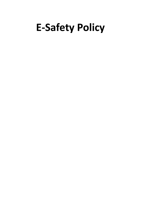# **E-Safety Policy**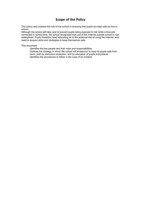# **Scope of the Policy**

This policy sets outlines the role of the school in ensuring that pupils are kept safe on-line in school.

Although the school will take care to prevent pupils being exposed to risk while online and connected in school time, the school recognises that use of the Internet outside school is now widespread. Pupils therefore need educating as to the potential risk of using the Internet, and need to acquire skills and strategies to keep themselves safe.

This document:

 Identifies the key people and their roles and responsibilities. Outlines the strategy in which the school will endeavour to keep its pupils safe from harm, both by electronic protection, and by education of pupils and parents Identifies the procedures to follow in the case of an incident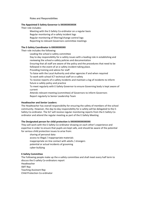Roles and Responsibilities

#### **The Appointed E-Safety Governor is XXXXXXXXXXX**

Their role includes:

 Meeting with the E-Safety Co-ordinator on a regular basis Regular monitoring of e-safety incident logs Regular monitoring of filtering/change control logs Reporting to relevant Governors committee meetings

#### **The E-Safety Coordinator is XXXXXXXXXX**

Their role includes the following:

Leading the school e-safety committee

 Day to day responsibility for e-safety issues with a leading role in establishing and reviewing the school e-safety policies and documentation

 Ensuring that all staff are aware of the policy and the procedures that need to be followed in the event of an e-safety incident taking place.

Providing training and advice for staff

 To liaise with the Local Authority and other agencies if and when required To work with school ICT technical staff on e-safety

 To receive reports of e-safety incidents and maintain a log of incidents to inform future e-safety policy and practice

 To meet regularly with E-Safety Governor to ensure Governing body is kept aware of current

 Attends relevant meeting (committee) of Governors to inform Governors Report regularly to Senior Leadership Team

## **Headteacher and Senior Leaders:**

The Headteacher has overall responsibility for ensuring the safety of members of the school community. However, the day-to-day responsibility for e-safety will be delegated to the E-Safety Co-ordinator. The SLT will receive regular monitoring reports from the E-Safety Coordinator and attend the regular meeting as part of the E-Safety Meeting

#### **The Designated person for child protection is XXXXXXXXXXXXXX**

They will work with the E-Safety Co-ordinator drawing on each other's experience and expertise in order to ensure that pupils are kept safe, and should be aware of the potential for serious child protection issues to arise from:

 sharing of personal data access to illegal / inappropriate materials inappropriate on-line contact with adults / strangers potential or actual incidents of grooming cyber-bullying

#### **E-Safety Committee**

The Following people make up the e-safety committee and shall meet every half term to discuss the E-safety Co-ordinators report Headteacher SMT Rep Teaching Assistant Rep<br>Child Protection Co-ordinator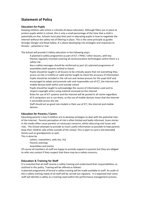# **Statement of Policy**

# **Education for Pupils**

Keeping children safe online is critically all about education. Although filters are in place to protect pupils whilst in school, this is only a small percentage of the time that a child is potentially on-line. Schools must play their part in educating pupils in how to negotiate the Internet without the safety net of filtering in place. This is the same principle as guides Stranger-Danger and Road Safety. It is about developing risk strategies and responses to threats – potential or real.

The School will provide E-Safety education in the following ways:

- A planned e-safety programme as part of ICT / PHSE / other lessons, with key themes regularly revisited covering all communication technologies where there is a safety risk
- Key e-safety messages should be reinforced as part of a planned programme of assemblies (with parents invited to share)
- Pupils should be taught in all lessons to be critically aware that not everything they access on-line is truthful or valid and be taught to check the accuracy of information Pupils should be included in the roll out and review process for the pupil AUP and encouraged to adopt and promote safe and responsible use of ICT, the internet and mobile devices both within and outside school
- Pupils should be taught to acknowledge the source of information used and to respect copyright when using material accessed on the internet
- Rules for use of ICT systems and the internet will be posted in all rooms regardless of if computers are in use there, as the use of mobile devices mean that the Internet is accessible across the site
- Staff should act as good role models in their use of ICT, the internet and mobile devices

## **Education for Parents / Carers**

Educating parents is key if children are to develop strategies to deal with the potential risks of the Internet. Parents perception of risk is often limited and badly informed. Scare stories in the media often cause parents un-necessary concerns, whilst obscuring real issues and risks. The School attempts to provide as much useful information as possible to help parents keep their children safe online outside of the school. This is open to carers and extended family such as grandparents as well.

This is done by

Letters, newsletters, web site, VLE

Parents evenings

Assemblies and events

Of course all members of staff are happy to provide support to parents but they are obliged to refer any contact if they suspect that there may be e-safety concerns.

## **Education & Training for Staff**

It is essential that all staff receive e-safety training and understand their responsibilities, as outlined in this policy. Training will be offered as follows:

A planned programme of formal e-safety training will be made available to staff. An audit of the e-safety training needs of all staff will be carried out regularly. It is expected that some staff will identify e-safety as a training need within the performance management process.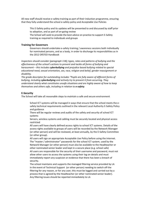All new staff should receive e-safety training as part of their induction programme, ensuring that they fully understand the school e-safety policy and Acceptable Use Policies

 This E-Safety policy and its updates will be presented to and discussed by staff prior to adoption, and as part of on-going review

 The School will seek to provide the best advice on practice to support E-Safety training as required to individuals and groups

## **Training for Governors**

 Governors should undertake e-safety training / awareness sessions both individually for nominated persons, and as a body, in order to discharge its responsibilities as in the 2012 OfSTED Handbook

*Inspectors should consider (paragraph 118); types, rates and patterns of bullying and the effectiveness of the school's actions to prevent and tackle all forms of bullying and harassment – this includes cyberbullying and prejudice based bullying related to special educational need, sexual orientation, sex, race, religion and belief, gender reassignment or disability.*

*The grade descriptor for outstanding includes "Pupils are fully aware of different forms of bullying, including cyberbullying and actively try to prevent it from occurring. They understand clearly what constitutes unsafe situations and are highly aware of how to keep themselves and others safe, including in relation to e-safety.*

## **E-Security**

The School will take all reasonable steps to maintain a safe and secure environment

 School ICT systems will be managed in ways that ensure that the school meets the esafety technical requirements outlined in the relevant Local Authority E-Safety Policy and guidance

 There will be regular reviews and audits of the safety and security of school ICT systems

 Servers, wireless systems and cabling must be securely located and physical access restricted

 All users will have clearly defined access rights to school ICT systems. Details of the access rights available to groups of users will be recorded by the Network Manager (or other person) and will be reviewed, at least annually, by the E-Safety Committee (or other group).

 All users will sign an appropriate Acceptable Use Policy before using the Internet. The "master / administrator" passwords for the school ICT system, used by the Network Manager (or other person) must also be available to the Headteacher or other nominated senior leader and kept in a secure place (e.g. school safe) All users are responsible for the security of their username and password, must not allow other users to access the systems using their log on details and must immediately report any suspicion or evidence that there has been a breach of security.

 The school maintains and supports the managed filtering service provided by LA In the event of Technical Support (or other person) needing to switch off the filtering for any reason, or for any user, this must be logged and carried out by a process that is agreed by the Headteacher (or other nominated senior leader). Any filtering issues should be reported immediately to LA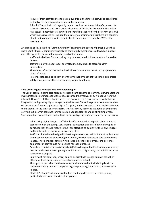Requests from staff for sites to be removed from the filtered list will be considered by the LA via their support mechanism for doing so

 School ICT technical staff regularly monitor and record the activity of users on the school ICT systems and users are made aware of this in the Acceptable Use Policy Any actual / potential e-safety incident should be reported to the relevant person/s which in most cases will include the e-safety co-ordinator unless there are concerns about their conduct in which case it should be escalated to involve SMT or the Headteacher

An agreed policy is in place "Laptop AU Policy" regarding the extent of personal use that users (staff / Pupils / community users) and their family members are allowed on laptops and other portable devices that may be used out of school.

 staff are forbidden from installing programmes on school workstations / portable devices.

 staff must only use approved, encrypted memory sticks to store/transfer information

 The school infrastructure and individual workstations are protected by up to date virus software.

 Personal data can not be sent over the internet or taken off the school site unless safely encrypted or otherwise secured, as per Data Policy

#### **Safe Use of Digital Photographic and Video images**

The use of digital imaging technologies has significant benefits to learning, allowing Staff and Pupils instant use of images that they have recorded themselves or downloaded from the internet. However, Staff and Pupils need to be aware of the risks associated with sharing images and with posting digital images on the internet. Those images may remain available on the internet forever as part of a digital footprint, and may cause harm or embarrassment to individuals in the short or longer term. There are many reported incidents of employers carrying out internet searches for information about potential and existing employees. Staff should be aware of, and understand the schools policy on Staff use of Social Networks

 When using digital images, staff should inform and educate pupils about the risks associated with the taking, use, sharing, publication and distribution of images. In particular they should recognise the risks attached to publishing their own images on the internet e.g. on social networking sites.

 Staff are allowed to take digital/video images to support educational aims, but must follow school policies concerning the sharing, distribution and publication of those images. Those images should only be taken on school equipment, the personal equipment of staff should not be used for such purposes.

 Care should be taken when taking digital/video images that Pupils are appropriately dressed and are not participating in activities that might bring the individuals or the school into disrepute.

 Pupils must not take, use, share, publish or distribute images taken in school, of others, without permission of the subject and the school.

 Photographs published on the website, or elsewhere that include Pupils will be selected carefully and will comply with good practice guidance on the use of such images.

 Students' / Pupils' full names will not be used anywhere on a website or blog, particularly in association with photographs.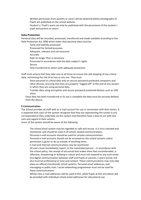Written permission from parents or carers will be obtained before photographs of Pupils are published on the school website

 Student's / Pupil's work can only be published with the permission of the student / pupil and parents or carers

## **Data Protection**

Personal data will be recorded, processed, transferred and made available according to the Data Protection Act 1998 which states that personal data must be:

 Fairly and lawfully processed Processed for limited purposes Adequate, relevant and not excessive Accurate Kept no longer than is necessary Processed in accordance with the data subject's rights Secure Only transferred to others with adequate protection.

Staff must ensure that they take care at all times to ensure the safe keeping of any critical data, minimising the risk of its loss or mis-use. They must

 Store personal or critical data only on secure password protected computers and other devices, ensuring that they are properly "logged-off" at the end of any session in which they are using personal data.

 Transfer data using encryption and secure password protected devices such as USB sticks

Once data has been transferred or its use is complete the data must be *securely* deleted from the device

## **E-Communication**

The School provides all staff with an e-mail account for use in connection with their duties. It is expected that users of the system recognise that they are representing the school in any correspondence they undertake via this system and therefore have a duty to act with due care and regard to their actions.

Users of the system should be aware of the following

 The school email system may be regarded as safe and secure. It is virus checked and monitored, and should be used in all school related communications.

Personal e-mail accounts should be used for private communications.

 Personal e-mail accounts should not be accessed on the school systems unless permission is given to do so outside of teaching times

E-mail and internet communications may be monitored

 All users must immediately report, to the nominated person – in accordance with the school policy, the receipt of any email that makes them feel uncomfortable, is offensive, threatening or bullying in nature and must not respond to any such email. Any digital communication between staff and Pupils or parents / carers (email, VLE etc) must be professional in tone and content. These communications may only take place on official (monitored) school systems. Personal email addresses, text messaging or public chat / social networking programmes must not be used for these communications.

 Whole class e-mail addresses will be used at KS1, while Pupils at KS2 and above will be provided with individual school email addresses for educational use.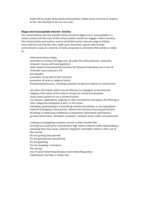Pupils will be taught about good email practices, safety issues, and how to respond to the risks attached to the use of e-mail.

#### **Illegal and Unacceptable Internet Activity**

The school believes that the activities below would be illegal, and or unacceptable in a school context and that users of the school systems should not engage in these activities. The school policies and systems restrict and forbid certain Internet usage as follows: Users shall not visit Internet sites, make, post, download, upload, data transfer, communicate or pass on, material, remarks, proposals or comments that contain or relate to:

 child sexual abuse images promotion or conduct of illegal acts, eg under the child protection, obscenity, computer misuse and fraud legislation adult material that potentially breaches the Obscene Publications Act in the UK criminally racist material in UK pornography promotion of any kind of discrimination promotion of racial or religious hatred threatening behaviours, including promotion of physical violence or mental harm

 any other information which may be offensive to colleagues or breaches the integrity of the ethos of the school or brings the school into disrepute Using school systems to run a private business Use systems, applications, websites or other mechanisms that bypass the filtering or other safeguards employed LA and / or the school Uploading, downloading or transmitting commercial software or any copyrighted materials belonging to third parties, without the necessary licensing permissions

 Revealing or publicising confidential or proprietary information (eg financial / personal information, databases, computer / network access codes and passwords)

 Creating or propagating computer viruses or other harmful files Carrying out sustained or instantaneous high volume network traffic (downloading / uploading files) that causes network congestion and hinders others in their use of the internet On-line gaming (educational) On-line gaming (non educational) On-line gambling On-line shopping / commerce File sharing Use of social networking sites(see social networking policy) Publishing to YouTube or similar sites